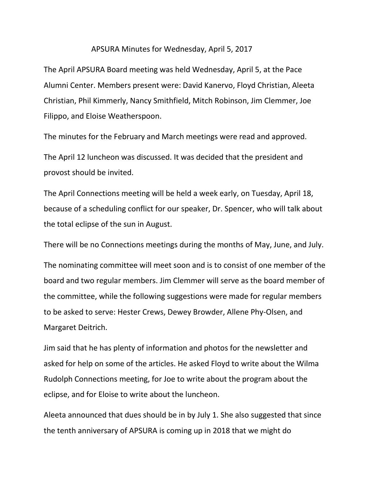## APSURA Minutes for Wednesday, April 5, 2017

The April APSURA Board meeting was held Wednesday, April 5, at the Pace Alumni Center. Members present were: David Kanervo, Floyd Christian, Aleeta Christian, Phil Kimmerly, Nancy Smithfield, Mitch Robinson, Jim Clemmer, Joe Filippo, and Eloise Weatherspoon.

The minutes for the February and March meetings were read and approved.

The April 12 luncheon was discussed. It was decided that the president and provost should be invited.

The April Connections meeting will be held a week early, on Tuesday, April 18, because of a scheduling conflict for our speaker, Dr. Spencer, who will talk about the total eclipse of the sun in August.

There will be no Connections meetings during the months of May, June, and July.

The nominating committee will meet soon and is to consist of one member of the board and two regular members. Jim Clemmer will serve as the board member of the committee, while the following suggestions were made for regular members to be asked to serve: Hester Crews, Dewey Browder, Allene Phy-Olsen, and Margaret Deitrich.

Jim said that he has plenty of information and photos for the newsletter and asked for help on some of the articles. He asked Floyd to write about the Wilma Rudolph Connections meeting, for Joe to write about the program about the eclipse, and for Eloise to write about the luncheon.

Aleeta announced that dues should be in by July 1. She also suggested that since the tenth anniversary of APSURA is coming up in 2018 that we might do